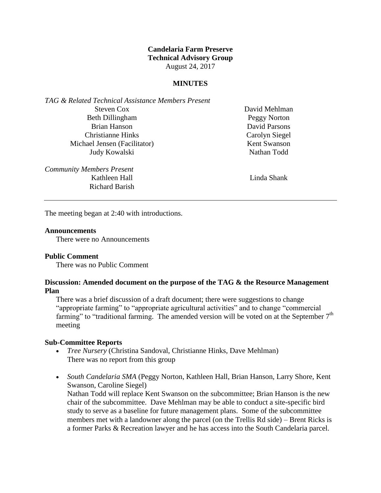# **Candelaria Farm Preserve Technical Advisory Group** August 24, 2017

### **MINUTES**

*TAG & Related Technical Assistance Members Present* Steven Cox Beth Dillingham Brian Hanson Christianne Hinks Michael Jensen (Facilitator) Judy Kowalski

*Community Members Present* Kathleen Hall Richard Barish David Mehlman Peggy Norton David Parsons Carolyn Siegel Kent Swanson Nathan Todd

Linda Shank

The meeting began at 2:40 with introductions.

#### **Announcements**

There were no Announcements

## **Public Comment**

There was no Public Comment

### **Discussion: Amended document on the purpose of the TAG & the Resource Management Plan**

There was a brief discussion of a draft document; there were suggestions to change "appropriate farming" to "appropriate agricultural activities" and to change "commercial farming" to "traditional farming. The amended version will be voted on at the September  $7<sup>th</sup>$ meeting

### **Sub-Committee Reports**

- *Tree Nursery* (Christina Sandoval, Christianne Hinks, Dave Mehlman) There was no report from this group
- *South Candelaria SMA* (Peggy Norton, Kathleen Hall, Brian Hanson, Larry Shore, Kent Swanson, Caroline Siegel) Nathan Todd will replace Kent Swanson on the subcommittee; Brian Hanson is the new chair of the subcommittee. Dave Mehlman may be able to conduct a site-specific bird study to serve as a baseline for future management plans. Some of the subcommittee members met with a landowner along the parcel (on the Trellis Rd side) – Brent Ricks is a former Parks & Recreation lawyer and he has access into the South Candelaria parcel.